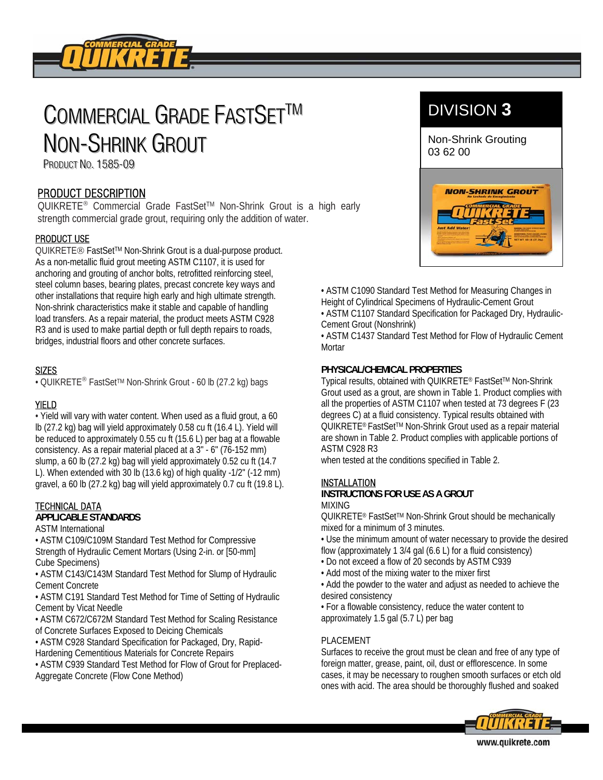

# COMMERCIAL GRADE FASTSETTM NON-SHRINK GROUT

PRODUCT NO. 1585-09

# PRODUCT DESCRIPTION

QUIKRETE<sup>®</sup> Commercial Grade FastSet™ Non-Shrink Grout is a high early strength commercial grade grout, requiring only the addition of water.

# PRODUCT USE

QUIKRETE<sup>®</sup> FastSet™ Non-Shrink Grout is a dual-purpose product. As a non-metallic fluid grout meeting ASTM C1107, it is used for anchoring and grouting of anchor bolts, retrofitted reinforcing steel, steel column bases, bearing plates, precast concrete key ways and other installations that require high early and high ultimate strength. Non-shrink characteristics make it stable and capable of handling load transfers. As a repair material, the product meets ASTM C928 R3 and is used to make partial depth or full depth repairs to roads, bridges, industrial floors and other concrete surfaces.

# **SIZES**

• QUIKRETE® FastSetTM Non-Shrink Grout - 60 lb (27.2 kg) bags

# YIELD

• Yield will vary with water content. When used as a fluid grout, a 60 lb (27.2 kg) bag will yield approximately 0.58 cu ft (16.4 L). Yield will be reduced to approximately 0.55 cu ft (15.6 L) per bag at a flowable consistency. As a repair material placed at a 3" - 6" (76-152 mm) slump, a 60 lb (27.2 kg) bag will yield approximately 0.52 cu ft (14.7 L). When extended with 30 lb (13.6 kg) of high quality -1/2" (-12 mm) gravel, a 60 lb (27.2 kg) bag will yield approximately 0.7 cu ft (19.8 L).

# TECHNICAL DATA

# **APPLICABLE STANDARDS**

ASTM International

• ASTM C109/C109M Standard Test Method for Compressive Strength of Hydraulic Cement Mortars (Using 2-in. or [50-mm] Cube Specimens)

• ASTM C143/C143M Standard Test Method for Slump of Hydraulic Cement Concrete

• ASTM C191 Standard Test Method for Time of Setting of Hydraulic Cement by Vicat Needle

• ASTM C672/C672M Standard Test Method for Scaling Resistance of Concrete Surfaces Exposed to Deicing Chemicals

• ASTM C928 Standard Specification for Packaged, Dry, Rapid-Hardening Cementitious Materials for Concrete Repairs

• ASTM C939 Standard Test Method for Flow of Grout for Preplaced-Aggregate Concrete (Flow Cone Method)

# DIVISION **3**

Non-Shrink Grouting 03 62 00



• ASTM C1090 Standard Test Method for Measuring Changes in Height of Cylindrical Specimens of Hydraulic-Cement Grout • ASTM C1107 Standard Specification for Packaged Dry, Hydraulic-Cement Grout (Nonshrink)

• ASTM C1437 Standard Test Method for Flow of Hydraulic Cement **Mortar** 

# **PHYSICAL/CHEMICAL PROPERTIES**

Typical results, obtained with QUIKRETE® FastSetTM Non-Shrink Grout used as a grout, are shown in Table 1. Product complies with all the properties of ASTM C1107 when tested at 73 degrees F (23 degrees C) at a fluid consistency. Typical results obtained with QUIKRETE® FastSet™ Non-Shrink Grout used as a repair material are shown in Table 2. Product complies with applicable portions of ASTM C928 R3

when tested at the conditions specified in Table 2.

# **INSTALLATION**

#### **INSTRUCTIONS FOR USE AS A GROUT**  MIXING

QUIKRETE® FastSet™ Non-Shrink Grout should be mechanically mixed for a minimum of 3 minutes.

• Use the minimum amount of water necessary to provide the desired flow (approximately 1 3/4 gal (6.6 L) for a fluid consistency)

- Do not exceed a flow of 20 seconds by ASTM C939
- Add most of the mixing water to the mixer first

• Add the powder to the water and adjust as needed to achieve the desired consistency

• For a flowable consistency, reduce the water content to approximately 1.5 gal (5.7 L) per bag

# PLACEMENT

Surfaces to receive the grout must be clean and free of any type of foreign matter, grease, paint, oil, dust or efflorescence. In some cases, it may be necessary to roughen smooth surfaces or etch old ones with acid. The area should be thoroughly flushed and soaked

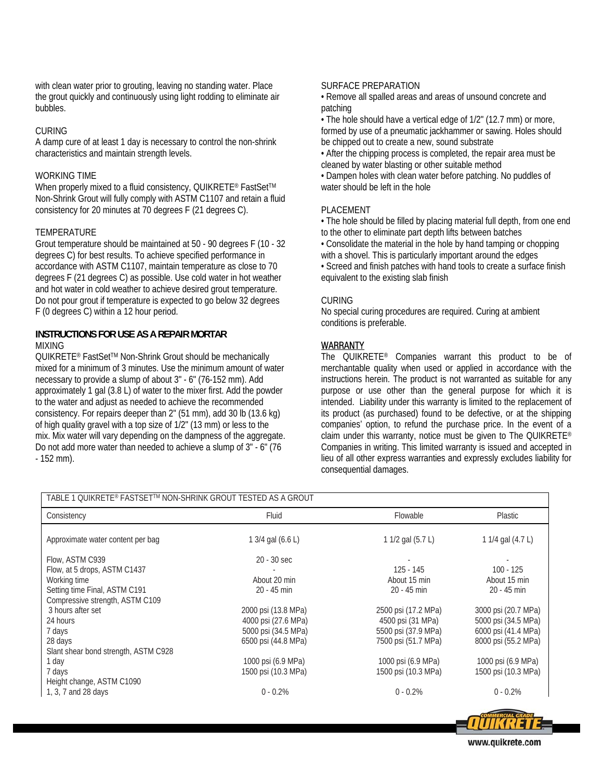with clean water prior to grouting, leaving no standing water. Place the grout quickly and continuously using light rodding to eliminate air bubbles.

#### CURING

A damp cure of at least 1 day is necessary to control the non-shrink characteristics and maintain strength levels.

#### WORKING TIME

When properly mixed to a fluid consistency, QUIKRETE® FastSet™ Non-Shrink Grout will fully comply with ASTM C1107 and retain a fluid consistency for 20 minutes at 70 degrees F (21 degrees C).

#### **TEMPERATURE**

Grout temperature should be maintained at 50 - 90 degrees F (10 - 32 degrees C) for best results. To achieve specified performance in accordance with ASTM C1107, maintain temperature as close to 70 degrees F (21 degrees C) as possible. Use cold water in hot weather and hot water in cold weather to achieve desired grout temperature. Do not pour grout if temperature is expected to go below 32 degrees F (0 degrees C) within a 12 hour period.

#### **INSTRUCTIONS FOR USE AS A REPAIR MORTAR**  MIXING

QUIKRETE® FastSet™ Non-Shrink Grout should be mechanically mixed for a minimum of 3 minutes. Use the minimum amount of water necessary to provide a slump of about 3" - 6" (76-152 mm). Add approximately 1 gal (3.8 L) of water to the mixer first. Add the powder to the water and adjust as needed to achieve the recommended consistency. For repairs deeper than 2" (51 mm), add 30 lb (13.6 kg) of high quality gravel with a top size of 1/2" (13 mm) or less to the mix. Mix water will vary depending on the dampness of the aggregate. Do not add more water than needed to achieve a slump of 3" - 6" (76 - 152 mm).

#### SURFACE PREPARATION

• Remove all spalled areas and areas of unsound concrete and patching

• The hole should have a vertical edge of 1/2" (12.7 mm) or more, formed by use of a pneumatic jackhammer or sawing. Holes should be chipped out to create a new, sound substrate

• After the chipping process is completed, the repair area must be cleaned by water blasting or other suitable method

• Dampen holes with clean water before patching. No puddles of water should be left in the hole

#### PLACEMENT

• The hole should be filled by placing material full depth, from one end to the other to eliminate part depth lifts between batches

• Consolidate the material in the hole by hand tamping or chopping with a shovel. This is particularly important around the edges

• Screed and finish patches with hand tools to create a surface finish equivalent to the existing slab finish

#### **CURING**

No special curing procedures are required. Curing at ambient conditions is preferable.

# WARRANTY

The QUIKRETE® Companies warrant this product to be of merchantable quality when used or applied in accordance with the instructions herein. The product is not warranted as suitable for any purpose or use other than the general purpose for which it is intended. Liability under this warranty is limited to the replacement of its product (as purchased) found to be defective, or at the shipping companies' option, to refund the purchase price. In the event of a claim under this warranty, notice must be given to The QUIKRETE® Companies in writing. This limited warranty is issued and accepted in lieu of all other express warranties and expressly excludes liability for consequential damages.

| TABLE 1 QUIKRETE® FASTSET™ NON-SHRINK GROUT TESTED AS A GROUT |                     |                     |                     |  |
|---------------------------------------------------------------|---------------------|---------------------|---------------------|--|
| Consistency                                                   | Fluid               | Flowable            | <b>Plastic</b>      |  |
| Approximate water content per bag                             | 1 3/4 gal (6.6 L)   | 1 1/2 gal (5.7 L)   | 1 1/4 gal (4.7 L)   |  |
| Flow, ASTM C939                                               | 20 - 30 sec         |                     |                     |  |
| Flow, at 5 drops, ASTM C1437                                  |                     | $125 - 145$         | $100 - 125$         |  |
| Working time                                                  | About 20 min        | About 15 min        | About 15 min        |  |
| Setting time Final, ASTM C191                                 | $20 - 45$ min       | $20 - 45$ min       | $20 - 45$ min       |  |
| Compressive strength, ASTM C109                               |                     |                     |                     |  |
| 3 hours after set                                             | 2000 psi (13.8 MPa) | 2500 psi (17.2 MPa) | 3000 psi (20.7 MPa) |  |
| 24 hours                                                      | 4000 psi (27.6 MPa) | 4500 psi (31 MPa)   | 5000 psi (34.5 MPa) |  |
| 7 days                                                        | 5000 psi (34.5 MPa) | 5500 psi (37.9 MPa) | 6000 psi (41.4 MPa) |  |
| 28 days                                                       | 6500 psi (44.8 MPa) | 7500 psi (51.7 MPa) | 8000 psi (55.2 MPa) |  |
| Slant shear bond strength, ASTM C928                          |                     |                     |                     |  |
| 1 day                                                         | 1000 psi (6.9 MPa)  | 1000 psi (6.9 MPa)  | 1000 psi (6.9 MPa)  |  |
| 7 days                                                        | 1500 psi (10.3 MPa) | 1500 psi (10.3 MPa) | 1500 psi (10.3 MPa) |  |
| Height change, ASTM C1090                                     |                     |                     |                     |  |
| 1, 3, 7 and 28 days                                           | $0 - 0.2%$          | $0 - 0.2%$          | $0 - 0.2%$          |  |
|                                                               |                     |                     |                     |  |

www.quikrete.com

**31111K**